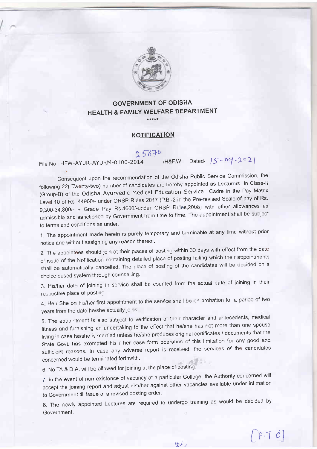

### GOVERNMENT OF ODISHA HEALTH & FAMILY WELFARE DEPARTMENT \*\*\*\*\*

## **NOTIFICATION**

# 25870

File No. HFW-AYUR-AYURM-0106-2014 /H&F.W. Dated-  $|5 - 09 - 202|$ 

Consequent upon the recommendation of the Odisha Public Service Commission, the following 22( Twenty-two) number of candidates are hereby appointed as Lecturers in Class-II (Group-B) of the Odisha Ayurvedic Medical Education Service Cadre in the Pay Matrix Level 10 of Rs. 44900/- under ORSP Rules 2017 (P.B.-2 in the Pre-revised Scale of pay of Rs. 9,300-34,800/- + Grade Pay Rs.4600/-under ORSP Rules,2008) with other allowances as admissible and sanctioned by Government from time to time. The appointment shall be subject to terms and conditions as under:

1. The appointment made herein is purely temporary and terminable at any time without prior notice and without assigning any reason thereof.

2. The appointees should join at their places of posting within 30 days with effect from the date of issue of the Notiflcation containing detailed place of posting failing which their appointments shall be automatically cancelled. The place of posting of the candidates will be decided on a choice based system through counselling.

3. His/her date of joining in service shall be counted from the actual date of joining in their respective place of posting.

4. He / She on his/her first appointment to the service shall be on probation for a period of two years from the date he/she actually joins.

5. The appointment is also subject to verification of their character and antecedents, medical fitness and furnishing an undertaking to the effect that he/she has not more than one spouse living in case he/she is married unless he/she produces original certificates / documents that the State Govt. has exempted his / her case form operation of this limitation for any good and sufficient reasons. In case any adverse report is received, the services of the candidates concerned would be terminated forthwith.

6. No TA & D.A. will be allowed for joining at the place of posting'

7. In the event of non-extstence of vacancy at a particular College ,the Authority concerned will accept the joining report and adjust him/her against other vacancies available under intimation to Government till issue of a revised posting order.

8. The newly appointed Lectures are required to undergo training as would be decided by Government.

 $\left(\frac{1}{2}, \frac{1}{2}\right)$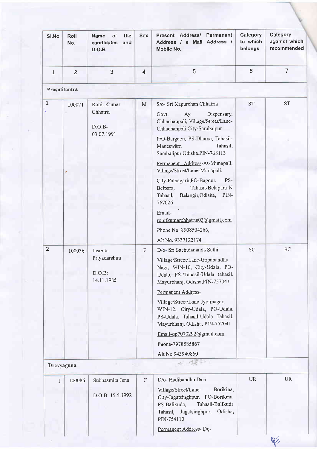| SI.No          | Roll<br>No.    | <b>Name</b><br>οf<br>the<br>candidates<br>and<br>D.O.B | <b>Sex</b>     | Permanent<br>Present Address/<br>Address / e Mail Address /<br>Mobile No.                                                                                                                                                                                                                                                                                                                                                                                                                       | Category<br>to which<br>belongs | Category<br>against which<br>recommended |
|----------------|----------------|--------------------------------------------------------|----------------|-------------------------------------------------------------------------------------------------------------------------------------------------------------------------------------------------------------------------------------------------------------------------------------------------------------------------------------------------------------------------------------------------------------------------------------------------------------------------------------------------|---------------------------------|------------------------------------------|
| $\mathbf{1}$   | $\overline{2}$ | 3                                                      | $\overline{4}$ | 5                                                                                                                                                                                                                                                                                                                                                                                                                                                                                               | 6                               | $\overline{7}$                           |
| Prasutitantra  |                |                                                        |                |                                                                                                                                                                                                                                                                                                                                                                                                                                                                                                 |                                 |                                          |
| $\mathbf{1}$   | 100071         | Rohit Kumar<br>Chhatria<br>$D.O.B-$<br>03.07.1991      | M              | S/o- Sri Kapurchan Chhatria<br>Dispensary,<br>Govt.<br>Ay.<br>Chhachanpali, Village/Street/Lane-<br>Chhachanpali, City-Sambalpur<br>P/O-Bargaon, PS-Dhama, Tahasil-<br>Maneswarn<br>Tahasil,<br>Sambalipur, Odisha.PIN-768113<br>Permanent Address-At-Munapali,<br>Village/Street/Lane-Munapali,<br>City-Patnagarh, PO-Bagdor,<br>PS-<br>Tahasil-Belapara-N<br>Belpara,<br>Balangir, Odisha,<br>PIN-<br>Tahasil,<br>767026<br>Email-<br>rohitkumarchhatria03@gmail.com<br>Phone No. 8908504266, | <b>ST</b>                       | <b>ST</b>                                |
|                |                |                                                        |                | Alt No. 9337122174                                                                                                                                                                                                                                                                                                                                                                                                                                                                              |                                 |                                          |
| $\overline{2}$ | 100036         | Jasmita<br>Priyadarshini<br>D.O.B:<br>14.11.1985       | $\mathbf{F}$   | D/o- Sri Sachidananda Sethi<br>Village/Street/Lane-Gopabandhu<br>Nagr, WIN-10, City-Udala, PO-<br>Udala, PS-/Tahasil-Udala tahasil,<br>Mayurbhanj, Odisha, PIN-757041<br>Permanent Address-<br>Village/Street/Lane-Jyotinagar,<br>WIN-12, City-Udala, PO-Udala,<br>PS-Udala, Tahasil-Udala Tahasil,<br>Mayurbhanj, Odisha, PIN-757041<br>Email-dp7070292@gmail.com<br>Phone-7978585867<br>Alt No.943940850                                                                                      | SC <sub>1</sub>                 | SC <sub>1</sub>                          |
| Dravyaguna     |                |                                                        |                | $-32$                                                                                                                                                                                                                                                                                                                                                                                                                                                                                           |                                 |                                          |
| 1              | 100086         | Subhasmita Jena<br>D.O.B: 15.5.1992                    | $\rm F$        | D/o- Hadibandhu Jena<br>Borikina,<br>Village/Street/Lane-<br>City-Jagatsinghpur, PO-Borikina,<br>Tahasil-Balikuda<br>PS-Balikuda,<br>Tahasil, Jagatsinghpur,<br>Odisha,<br>PIN-754110                                                                                                                                                                                                                                                                                                           | <b>UR</b>                       | <b>UR</b>                                |
|                |                |                                                        |                | Permanent Address-Do-                                                                                                                                                                                                                                                                                                                                                                                                                                                                           |                                 |                                          |
|                |                |                                                        |                |                                                                                                                                                                                                                                                                                                                                                                                                                                                                                                 |                                 | $\mathbb{C}$                             |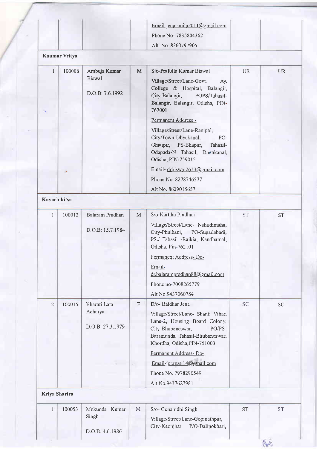| Kaumar Vritya<br>$\mathbf{1}$<br>1<br>$\overline{2}$ | 100006<br>100012 | Ambuja Kumar<br><b>Biswal</b><br>D.O.B: 7.6.1992<br>Balaram Pradhan<br>D.O.B: 15.7 1984 | M<br>M         | S o-Prafulla Kumar Biswal<br>Village/Street/Lane-Govt.<br>Ay.<br>College & Hospital, Balangir,<br>City-Balangir,<br>POPS/Tahasil-<br>Balangir, Balangir, Odisha, PIN-<br>767001<br>Permanent Address -<br>Village/Street/Lane-Ranipal,<br>City/Town-Dhenkanal,<br>PO-<br>Ghatipir, PS-Bhapur,<br>Tahasil-<br>Odapada-N Tahasil, Dhenkanal,<br>Odisha, PIN-759015<br>Email-drbiswal2633@gmail.com<br>Phone No. 8278746577<br>Alt No. 8629015657<br>S/o-Kartika Pradhan<br>Village/Street/Lane- Nahudimaha,<br>City-Phulbani, PO-Sugadabadi, | <b>UR</b><br><b>ST</b> | <b>UR</b><br><b>ST</b> |
|------------------------------------------------------|------------------|-----------------------------------------------------------------------------------------|----------------|--------------------------------------------------------------------------------------------------------------------------------------------------------------------------------------------------------------------------------------------------------------------------------------------------------------------------------------------------------------------------------------------------------------------------------------------------------------------------------------------------------------------------------------------|------------------------|------------------------|
|                                                      |                  |                                                                                         |                |                                                                                                                                                                                                                                                                                                                                                                                                                                                                                                                                            |                        |                        |
|                                                      |                  |                                                                                         |                |                                                                                                                                                                                                                                                                                                                                                                                                                                                                                                                                            |                        |                        |
|                                                      |                  |                                                                                         |                |                                                                                                                                                                                                                                                                                                                                                                                                                                                                                                                                            |                        |                        |
| Kayachikitsa                                         |                  |                                                                                         |                |                                                                                                                                                                                                                                                                                                                                                                                                                                                                                                                                            |                        |                        |
|                                                      |                  |                                                                                         |                |                                                                                                                                                                                                                                                                                                                                                                                                                                                                                                                                            |                        |                        |
|                                                      |                  |                                                                                         |                |                                                                                                                                                                                                                                                                                                                                                                                                                                                                                                                                            |                        |                        |
|                                                      |                  |                                                                                         |                | PS./ Tahasil -Raikia, Kandhamal,<br>Odisha, Pin-762101                                                                                                                                                                                                                                                                                                                                                                                                                                                                                     |                        |                        |
|                                                      |                  |                                                                                         |                | Permanent Address-Do-<br>Email-<br>dr.balarampradhan88@gmail.com<br>Phone no-7008265779<br>Alt No.9437060784                                                                                                                                                                                                                                                                                                                                                                                                                               |                        |                        |
|                                                      | 100015           | Bharati Lata<br>Acharya<br>D.O.B: 27.3.1979                                             | $\overline{F}$ | D/o- Baidhar Jena<br>Village/Street/Lane- Shanti Vihar,<br>Lane-2, Housing Board Colony,<br>City-Bhubaneswar,<br>PO/PS-<br>Baramunda, Tahasil-Bhubaneswar,<br>Khordha, Odisha, PIN-751003<br>Permanent Address-Do-<br>Email-jpranati14@gmail.com<br>Phone No. 7978290549<br>Alt No.9437627981                                                                                                                                                                                                                                              | <b>SC</b>              | <b>SC</b>              |
| Kriya Sharira                                        |                  |                                                                                         |                |                                                                                                                                                                                                                                                                                                                                                                                                                                                                                                                                            |                        |                        |
| $\mathbf{1}$                                         | 100053           | Mukunda Kumar<br>Singh<br>D.O.B: 4.6.1986                                               | M              | S/o- Gunanidhi Singh<br>Village/Street/Lane-Gopinathpur,<br>City-Keonjhar, P/O-Balipokhari,                                                                                                                                                                                                                                                                                                                                                                                                                                                | <b>ST</b>              | <b>ST</b>              |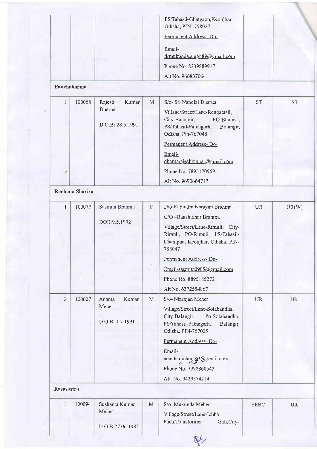| PS/Tahasil-Ghatgaon, Keonjhar,<br>Odisha, PIN- 758027          |  |
|----------------------------------------------------------------|--|
| Permanent Address-Do-<br>Email-<br>drmukunda.singh89@gmail.com |  |
| Phone No. 8239889917                                           |  |
| Alt No. 9668370641                                             |  |

#### Panchakarma

|   | 100068 | Rajesh<br>Kumar<br>Dharua<br>D.O.B: 28.5.1991 | M | S/o- Sri Nandlal Dharua<br>Village/Street/Lane-Rengatasil,<br>City-Balangir,<br>PO-Bhainsa, | <b>ST</b> | <b>ST</b> |
|---|--------|-----------------------------------------------|---|---------------------------------------------------------------------------------------------|-----------|-----------|
|   |        |                                               |   | PS/Tahasil-Patnagarh,<br>Bolangir,<br>Odisha, Pin-767048<br>Permanent Address-Do-           |           |           |
|   |        |                                               |   | Email-<br>dharuarajeshkumar@gmail.com                                                       |           |           |
| Æ |        |                                               |   | Phone No. 7895170969                                                                        |           |           |
|   |        |                                               |   | Alt No. 9690664717                                                                          |           |           |

# Rachana Sharira

| L              | 100077 | Sasmita Brahma<br>DOB:9.5.1992              | $\mathbb F$ | D/o-Rabindra Narayan Brahma<br>C/O -Banshidhar Brahma<br>Village/Street/Lane-Rimuli, City-<br>Rimuli, PO-Rimuli, PS/Tahasil-<br>Champua, Keonjhar, Odisha, PIN-<br>758047<br>Permanent Address-Do-<br>Email-sasmita0905@gmail.com<br>Phone No. 8895185272<br>Alt No. 6372554867 | <b>UR</b>   | UR(W)     |
|----------------|--------|---------------------------------------------|-------------|---------------------------------------------------------------------------------------------------------------------------------------------------------------------------------------------------------------------------------------------------------------------------------|-------------|-----------|
| $\overline{2}$ | 100007 | Ananta<br>Kumar<br>Meher<br>D.O.B: 1.7.1991 | $\mathbf M$ | S/o- Niranjan Meher<br>Village/Street/Lane-Solabandha,<br>City-Balangir,<br>Po-Solabandha,<br>PS/Tahasil-Patnagarh,<br>Balangir,<br>Odisha, PIN-767025<br>Permanent Address-Do-<br>Email-<br>ananta.meher143@gmail.com<br>Phonė No. 7978860542<br>Alt. No. 9439574214           | <b>UR</b>   | <b>UR</b> |
| Rasasastra     |        |                                             |             |                                                                                                                                                                                                                                                                                 |             |           |
| $\mathbf{1}$   | 100094 | Sushanta Kumar<br>Meher                     | ${\bf M}$   | S/o- Mukunda Meher<br>Village/Street/Lane-Ichha<br>Pada, Transformer<br>Gali, City-                                                                                                                                                                                             | <b>SEBC</b> | <b>UR</b> |

Ri

D.O.B:27.06,1985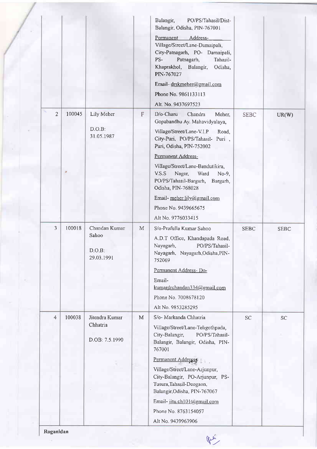|                |        |                                                |   | Balangir,<br>PO/PS/Tahasil/Dist-<br>Balangir, Odisha, PIN-767001<br>Permanent<br>Address-<br>Village/Street/Lane-Damaipali,<br>City-Patnagarh, PO- Damaipali,<br>PS-<br>Patnagarh,<br>Tahasil-<br>Khaprakhol, Balangir,<br>Odisha,<br>PIN-767027<br>Email-drskmeher@gmail.com<br>Phone No. 9861133113<br>Alt. No. 9437697523                                                                               |             |             |
|----------------|--------|------------------------------------------------|---|------------------------------------------------------------------------------------------------------------------------------------------------------------------------------------------------------------------------------------------------------------------------------------------------------------------------------------------------------------------------------------------------------------|-------------|-------------|
| $\overline{2}$ | 100045 | Lily Meher<br>$D.O.B$ :<br>31.05.1987          | F | D/o-Charu<br>Chandra<br>Meher,<br>Gopabandhu Ay. Mahavidyalaya,<br>Village/Street/Lane-V.I.P<br>Road,<br>City-Puri, PO/PS/Tahasil- Puri,<br>Puri, Odisha, PIN-752002<br>Permanent Address-<br>Village/Street/Lane-Bandutikira,<br>V.S.S<br>Nagar,<br>Ward<br>No-9,<br>PO/PS/Tahasil-Bargarh,<br>Bargarh,<br>Odisha, PIN-768028<br>Email-meher.lily@gmail.com<br>Phone No. 9439665675<br>Alt No. 9776033415 | <b>SEBC</b> | UR(W)       |
| 3              | 100018 | Chandan Kumar<br>Sahoo<br>D.O.B.<br>29.03.1991 | M | S/o-Prafulla Kumar Sahoo<br>A.D.T Office, Khandapada Road,<br>Nayagarh,<br>PO/PS/Tahasil-<br>Nayagarh, Nayagarh, Odisha, PIN-<br>752069<br>Permanent Address-Do-<br>Email-<br>kumardrchandan334@gmail.com<br>Phone No. 7008678120<br>Alt No. 9853285295                                                                                                                                                    | <b>SEBC</b> | <b>SEBC</b> |
| $\overline{4}$ | 100038 | Jitendra Kumar<br>Chhatria<br>D.OB: 7.5.1990   | M | S/o- Markanda Chhatria<br>Village/Street/Lane-Teligothpada,<br>City-Balangir,<br>PO/PS/Tahasil-<br>Balangir, Balangir, Odisha, PIN-<br>767001<br>Permanent Address<br>Village/Street/Lane-Arjunpur,<br>City-Balangir, PO-Arjunpur, PS-<br>Tusura, Tahasil-Deogaon,<br>Balangir, Odisha, PIN-767067<br>Email-jitu.ch101@gmail.com<br>Phone No. 8763154057<br>Alt No. 9439963906                             | SC          | SC          |

Roganidan

 $Q_{\mu\nu}$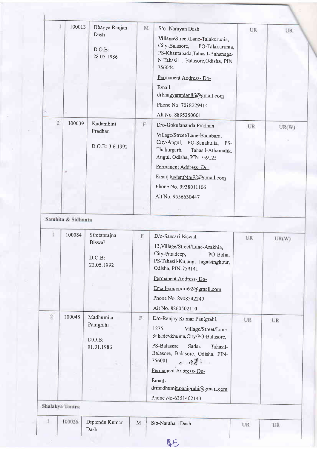|                | 100013             | Bhagya Ranjan<br>Dash                   | M            | S/o- Narayan Dash                                                                                                                                                                                                                                                 | UR | UR.   |
|----------------|--------------------|-----------------------------------------|--------------|-------------------------------------------------------------------------------------------------------------------------------------------------------------------------------------------------------------------------------------------------------------------|----|-------|
|                |                    | D.O.B.<br>28.05.1986                    |              | Village/Street/Lane-Talakurunia,<br>City-Balasore,<br>PO-Talakurunia,<br>PS-Khantapada, Tahasil-Bahanaga-<br>N Tahasil , Balasore, Odisha, PIN.<br>756044                                                                                                         |    |       |
|                |                    |                                         |              | Permanent Address-Do-<br>Email.<br>drbhagyaranjan86@gmail.com<br>Phone No. 7018229414<br>Alt No. 8895250001                                                                                                                                                       |    |       |
| $\overline{2}$ | 100039             | Kadambini<br>Pradhan<br>D.O.B: 3.6.1992 | $\mathbb F$  | D/o-Gokulananda Pradhan<br>Village/Street/Lane-Badabara,<br>City-Angul, PO-Sanahulia, PS-<br>Thakurgarh,<br>Tahasil-Athamalik,<br>Angul, Odisha, PIN-759125<br>Permanent Address-Do-<br>Email.kadambini92@gmail.com<br>Phone No. 9938011106<br>Alt No. 9556630447 | UR | UR(W) |
|                |                    |                                         |              |                                                                                                                                                                                                                                                                   |    |       |
|                | Samhita & Sidhanta |                                         |              |                                                                                                                                                                                                                                                                   |    |       |
|                | 100084             | Sthitaprajna                            |              |                                                                                                                                                                                                                                                                   |    |       |
|                |                    | <b>Biswal</b><br>D.O.B:<br>22.05.1992   | $\mathbf{F}$ | D/o-Sansari Biswal.<br>13, Village/Street/Lane-Arakhia,<br>City-Paradeep,<br>PO-Balia,<br>PS/Tahasil-Kujang, Jagatsinghpur,                                                                                                                                       | UR | UR(W) |
|                |                    |                                         |              | Odisha, PIN-754141<br>Permanent Address-Do-<br>Email-sonymira92@gmail.com<br>Phone No. 8908542249<br>Alt No. 8260502110                                                                                                                                           |    |       |
| $\overline{2}$ | 100048             | Madhumita<br>Panigrahi<br>D.O.B:        | F            | D/o-Ranjay Kumar Panigrahi,<br>1275,<br>Village/Street/Lane-<br>Sahadevkhunta, City/PO-Balasore,                                                                                                                                                                  | UR | UR    |
|                |                    | 01.01.1986                              |              | PS-Balasore<br>Sadar,<br>Tahasil-<br>Balasore, Balasore. Odisha, PIN-<br>756001<br>ノ 同書 しょ<br>Permanent Address-Do-<br>Email-<br>drmadhumit.panigrahi@gmail.com<br>Phone No-6351402143                                                                            |    |       |
|                | Shalakya Tantra    |                                         |              |                                                                                                                                                                                                                                                                   |    |       |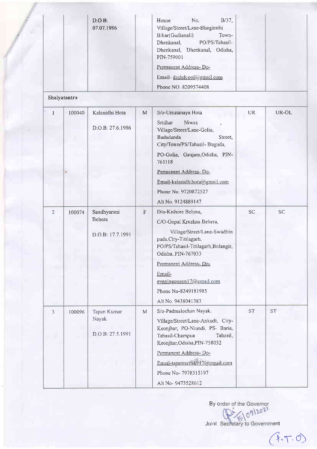|                |              | D.O.B.<br>07.07.1986  |              | No.<br>$B/37$ ,<br>House<br>Village/Street/Lane-Bhagirathi<br>Bihar(Gudianali)<br>Town-<br>PO/PS/Tahasil-<br>Dhenkanal,<br>Dhenkanal, Dhenkanal, Odisha,<br>PIN-759001<br>Permanent Address-Do-<br>Email-dashdcool@gmail.com |           |           |
|----------------|--------------|-----------------------|--------------|------------------------------------------------------------------------------------------------------------------------------------------------------------------------------------------------------------------------------|-----------|-----------|
|                |              |                       |              | Phone NO. 8209574408                                                                                                                                                                                                         |           |           |
|                | Shalyatantra |                       |              |                                                                                                                                                                                                                              |           |           |
| $\mathbf{1}$   | 100040       | Kalanidhi Hota        | M            | S/o-Umatanaya Hota                                                                                                                                                                                                           | <b>UR</b> | UR-OL     |
|                |              | D.O.B: 27.6.1986      |              | Niwas<br>Sridhar<br>Village/Street/Lane-Golia,<br>Badadanda<br>Street,<br>City/Town/PS/Tahasil- Buguda,                                                                                                                      |           |           |
|                |              |                       |              | PO-Golia, Ganjam, Odisha, PIN-<br>761118                                                                                                                                                                                     |           |           |
|                |              |                       |              | Permanent Address-Do-                                                                                                                                                                                                        |           |           |
|                |              |                       |              | Email-kalanidhihota@gmail.com                                                                                                                                                                                                |           |           |
|                |              |                       |              | Phone No. 9720872527                                                                                                                                                                                                         |           |           |
|                |              |                       |              | Alt No. 9124889147                                                                                                                                                                                                           |           |           |
| $\mathbf{2}$   | 100074       | Sandhyarani<br>Behera | $\mathbf{F}$ | D/o-Kishore Behera,                                                                                                                                                                                                          | <b>SC</b> | <b>SC</b> |
|                |              |                       |              | C/O-Gopal Krushna Behera,                                                                                                                                                                                                    |           |           |
|                |              | D.O.B: 17.7.1991      |              | Village/Street/Lane-Swadhin<br>pada, City-Titilagarh,<br>PO/PS/Tahasil-Titilagarh, Bolangir,<br>Odisha, PIN-767033                                                                                                           |           |           |
|                |              |                       |              | Permanent Address-Do-                                                                                                                                                                                                        |           |           |
|                |              |                       |              | Email-<br>eveningqueen17@gmail.com                                                                                                                                                                                           |           |           |
|                |              |                       |              | Phone No-8249181985                                                                                                                                                                                                          |           |           |
|                |              |                       |              | Alt No. 9438041383                                                                                                                                                                                                           |           |           |
| $\mathfrak{Z}$ | 100096       | Tapan Kumar           | M            | S/o-Padmalochan Nayak                                                                                                                                                                                                        | <b>ST</b> | <b>ST</b> |
|                |              | Nayak                 |              | Village/Street/Lane-Ankudi, City-                                                                                                                                                                                            |           |           |
|                |              | D.O.B: 27.5.1991      |              | Keonjhar, PO-Niundi, PS- Baria,<br>Tahasil-Champua<br>Tahasil,<br>Keonjhar, Odisha, PIN-758032                                                                                                                               |           |           |
|                |              |                       |              | Permanent Address-Do-                                                                                                                                                                                                        |           |           |
|                |              |                       |              | Email-tapannayak917@gmail.com                                                                                                                                                                                                |           |           |
|                |              |                       |              | Phone No- 7978315197                                                                                                                                                                                                         |           |           |
|                |              |                       |              | Alt No-9473528612                                                                                                                                                                                                            |           |           |

Byo

Joint Secretary to Government

 $(1.7.0)$